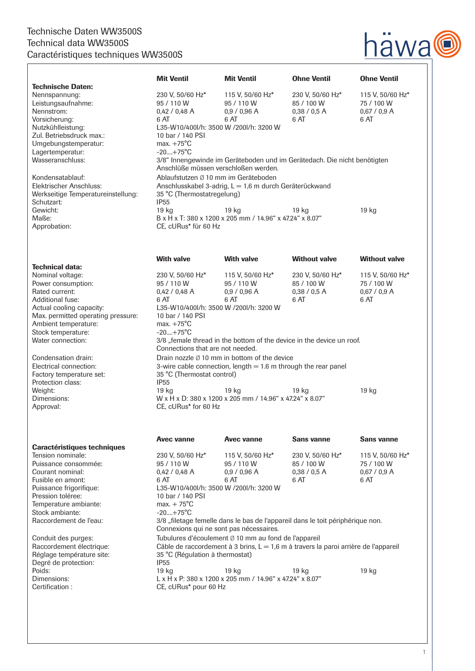### Technische Daten WW3500S Technical data WW3500S Caractéristiques techniques WW3500S  $\sqrt{ }$



|                                                                                                                                                                                                          | <b>Mit Ventil</b>                                                                                                                                                                                                                                                                                           | <b>Mit Ventil</b>                                                            | <b>Ohne Ventil</b>                                     | <b>Ohne Ventil</b>                                     |
|----------------------------------------------------------------------------------------------------------------------------------------------------------------------------------------------------------|-------------------------------------------------------------------------------------------------------------------------------------------------------------------------------------------------------------------------------------------------------------------------------------------------------------|------------------------------------------------------------------------------|--------------------------------------------------------|--------------------------------------------------------|
| <b>Technische Daten:</b><br>Nennspannung:<br>Leistungsaufnahme:<br>Nennstrom:<br>Vorsicherung:<br>Nutzkühlleistung:<br>Zul. Betriebsdruck max.:                                                          | 230 V, 50/60 Hz*<br>95 / 110 W<br>0,42 / 0,48 A<br>6 AT<br>L35-W10/400l/h: 3500 W /200l/h: 3200 W<br>10 bar / 140 PSI                                                                                                                                                                                       | 115 V, 50/60 Hz*<br>95 / 110 W<br>0.9 / 0.96 A<br>6 AT                       | 230 V, 50/60 Hz*<br>85 / 100 W<br>0.38 / 0.5 A<br>6 AT | 115 V, 50/60 Hz*<br>75 / 100 W<br>0.67 / 0.9 A<br>6 AT |
| Umgebungstemperatur:<br>Lagertemperatur:<br>Wasseranschluss:                                                                                                                                             | max. $+75^{\circ}$ C<br>$-20+75^{\circ}C$<br>3/8" Innengewinde im Geräteboden und im Gerätedach. Die nicht benötigten<br>Anschlüße müssen verschloßen werden.                                                                                                                                               |                                                                              |                                                        |                                                        |
| Kondensatablauf:<br>Elektrischer Anschluss:<br>Werkseitige Temperatureinstellung:<br>Schutzart:                                                                                                          | Ablaufstutzen Ø 10 mm im Geräteboden<br>Anschlusskabel 3-adrig, L = 1,6 m durch Geräterückwand<br>35 °C (Thermostatregelung)<br><b>IP55</b>                                                                                                                                                                 |                                                                              |                                                        |                                                        |
| Gewicht:<br>Maße:<br>Approbation:                                                                                                                                                                        | 19 <sub>kg</sub><br>CE, cURus* für 60 Hz                                                                                                                                                                                                                                                                    | 19 kg<br>B x H x T: 380 x 1200 x 205 mm / 14.96" x 47.24" x 8.07"            | 19 kg                                                  | 19 kg                                                  |
|                                                                                                                                                                                                          |                                                                                                                                                                                                                                                                                                             |                                                                              |                                                        |                                                        |
| <b>Technical data:</b>                                                                                                                                                                                   | <b>With valve</b>                                                                                                                                                                                                                                                                                           | <b>With valve</b>                                                            | <b>Without valve</b>                                   | <b>Without valve</b>                                   |
| Nominal voltage:<br>Power consumption:<br>Rated current:<br>Additional fuse:<br>Actual cooling capacity:<br>Max. permitted operating pressure:<br>Ambient temperature:<br>Stock temperature:             | 230 V, 50/60 Hz*<br>95 / 110 W<br>0,42 / 0,48 A<br>6 AT<br>L35-W10/400l/h: 3500 W /200l/h: 3200 W<br>10 bar / 140 PSI<br>max. $+75^{\circ}$ C<br>$-20+75$ °C                                                                                                                                                | 115 V, 50/60 Hz*<br>95 / 110 W<br>0,9 / 0,96 A<br>6 AT                       | 230 V, 50/60 Hz*<br>85 / 100 W<br>0,38 / 0,5 A<br>6 AT | 115 V, 50/60 Hz*<br>75 / 100 W<br>$0,67/0,9$ A<br>6 AT |
| Water connection:<br>Condensation drain:<br>Electrical connection:<br>Factory temperature set:<br>Protection class:                                                                                      | 3/8 "female thread in the bottom of the device in the device un roof.<br>Connections that are not needed.<br>Drain nozzle Ø 10 mm in bottom of the device<br>3-wire cable connection, length $= 1.6$ m through the rear panel<br>35 °C (Thermostat control)<br><b>IP55</b>                                  |                                                                              |                                                        |                                                        |
| Weight:<br>Dimensions:<br>Approval:                                                                                                                                                                      | 19 kg<br>19 kg<br>19 kg<br>19 kg<br>W x H x D: 380 x 1200 x 205 mm / 14.96" x 47.24" x 8.07"<br>CE, cURus* for 60 Hz                                                                                                                                                                                        |                                                                              |                                                        |                                                        |
| <b>Caractéristiques techniques</b>                                                                                                                                                                       | Avec vanne                                                                                                                                                                                                                                                                                                  | Avec vanne                                                                   | Sans vanne                                             | <b>Sans vanne</b>                                      |
| Tension nominale:<br>Puissance consommée:<br>Courant nominal:<br>Fusible en amont:<br>Puissance frigorifique:<br>Pression toléree:<br>Temperature ambiante:<br>Stock ambiante:<br>Raccordement de l'eau: | 230 V, 50/60 Hz*<br>95 / 110 W<br>0,42/0,48A<br>6 AT<br>L35-W10/400l/h: 3500 W /200l/h: 3200 W<br>10 bar / 140 PSI<br>$max. + 75^{\circ}C$<br>$-20+75^{\circ}C$                                                                                                                                             | 115 V, 50/60 Hz*<br>95 / 110 W<br>0,9 / 0,96 A<br>6 AT                       | 230 V, 50/60 Hz*<br>85 / 100 W<br>0,38 / 0,5 A<br>6 AT | 115 V, 50/60 Hz*<br>75 / 100 W<br>0,67 / 0,9 A<br>6 AT |
| Conduit des purges:<br>Raccordement électrique:<br>Réglage température site:                                                                                                                             | 3/8 "filetage femelle dans le bas de l'appareil dans le toit périphérique non.<br>Connexions qui ne sont pas nécessaires.<br>Tubulures d'écoulement Ø 10 mm au fond de l'appareil<br>Câble de raccordement à 3 brins, L = 1,6 m à travers la paroi arrière de l'appareil<br>35 °C (Régulation à thermostat) |                                                                              |                                                        |                                                        |
| Degré de protection:<br>Poids:<br>Dimensions:<br>Certification:                                                                                                                                          | <b>IP55</b><br>19 kg<br>CE, cURus* pour 60 Hz                                                                                                                                                                                                                                                               | 19 <sub>kg</sub><br>L x H x P: 380 x 1200 x 205 mm / 14.96" x 47.24" x 8.07" | 19 kg                                                  | 19 kg                                                  |